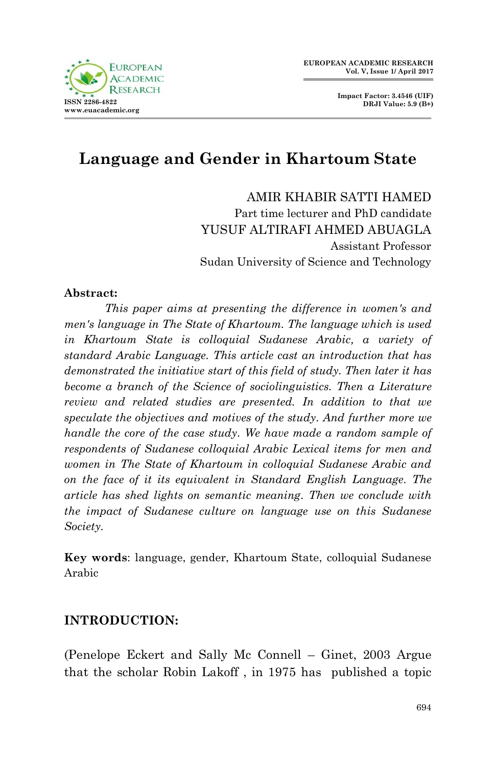

# **Language and Gender in Khartoum State**

AMIR KHABIR SATTI HAMED Part time lecturer and PhD candidate YUSUF ALTIRAFI AHMED ABUAGLA Assistant Professor Sudan University of Science and Technology

#### **Abstract:**

*This paper aims at presenting the difference in women's and men's language in The State of Khartoum. The language which is used in Khartoum State is colloquial Sudanese Arabic, a variety of standard Arabic Language. This article cast an introduction that has demonstrated the initiative start of this field of study. Then later it has become a branch of the Science of sociolinguistics. Then a Literature review and related studies are presented. In addition to that we speculate the objectives and motives of the study. And further more we handle the core of the case study. We have made a random sample of respondents of Sudanese colloquial Arabic Lexical items for men and women in The State of Khartoum in colloquial Sudanese Arabic and on the face of it its equivalent in Standard English Language. The article has shed lights on semantic meaning. Then we conclude with the impact of Sudanese culture on language use on this Sudanese Society.*

**Key words**: language, gender, Khartoum State, colloquial Sudanese Arabic

## **INTRODUCTION:**

(Penelope Eckert and Sally Mc Connell – Ginet, 2003 Argue that the scholar Robin Lakoff , in 1975 has published a topic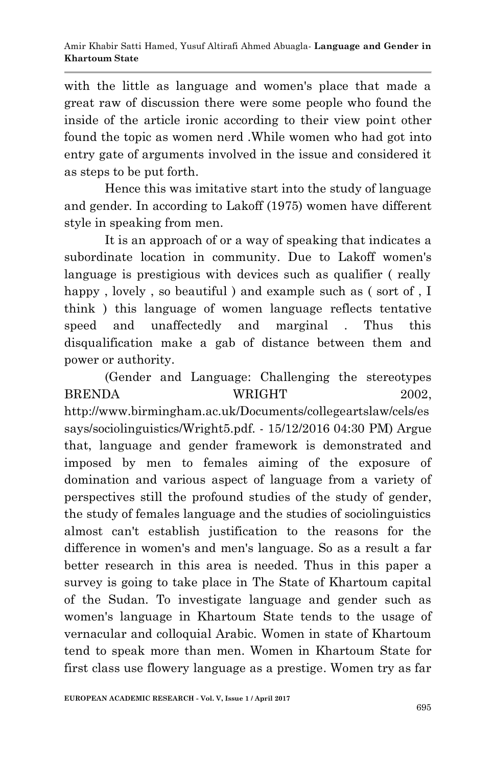with the little as language and women's place that made a great raw of discussion there were some people who found the inside of the article ironic according to their view point other found the topic as women nerd .While women who had got into entry gate of arguments involved in the issue and considered it as steps to be put forth.

Hence this was imitative start into the study of language and gender. In according to Lakoff (1975) women have different style in speaking from men.

It is an approach of or a way of speaking that indicates a subordinate location in community. Due to Lakoff women's language is prestigious with devices such as qualifier ( really happy, lovely, so beautiful) and example such as (sort of, I think ) this language of women language reflects tentative speed and unaffectedly and marginal . Thus this disqualification make a gab of distance between them and power or authority.

(Gender and Language: Challenging the stereotypes BRENDA WRIGHT 2002. http://www.birmingham.ac.uk/Documents/collegeartslaw/cels/es says/sociolinguistics/Wright5.pdf. - 15/12/2016 04:30 PM) Argue that, language and gender framework is demonstrated and imposed by men to females aiming of the exposure of domination and various aspect of language from a variety of perspectives still the profound studies of the study of gender, the study of females language and the studies of sociolinguistics almost can't establish justification to the reasons for the difference in women's and men's language. So as a result a far better research in this area is needed. Thus in this paper a survey is going to take place in The State of Khartoum capital of the Sudan. To investigate language and gender such as women's language in Khartoum State tends to the usage of vernacular and colloquial Arabic. Women in state of Khartoum tend to speak more than men. Women in Khartoum State for first class use flowery language as a prestige. Women try as far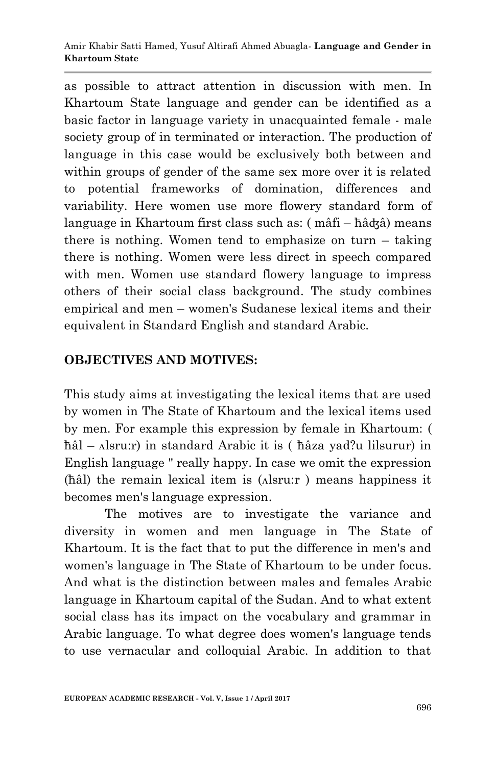as possible to attract attention in discussion with men. In Khartoum State language and gender can be identified as a basic factor in language variety in unacquainted female - male society group of in terminated or interaction. The production of language in this case would be exclusively both between and within groups of gender of the same sex more over it is related to potential frameworks of domination, differences and variability. Here women use more flowery standard form of language in Khartoum first class such as: ( mâfi – ћâʤâ) means there is nothing. Women tend to emphasize on turn – taking there is nothing. Women were less direct in speech compared with men. Women use standard flowery language to impress others of their social class background. The study combines empirical and men – women's Sudanese lexical items and their equivalent in Standard English and standard Arabic.

# **OBJECTIVES AND MOTIVES:**

This study aims at investigating the lexical items that are used by women in The State of Khartoum and the lexical items used by men. For example this expression by female in Khartoum: ( ћâl – ʌlsru:r) in standard Arabic it is ( ћâza yad?u lilsurur) in English language " really happy. In case we omit the expression (ћâl) the remain lexical item is (ʌlsru:r ) means happiness it becomes men's language expression.

The motives are to investigate the variance and diversity in women and men language in The State of Khartoum. It is the fact that to put the difference in men's and women's language in The State of Khartoum to be under focus. And what is the distinction between males and females Arabic language in Khartoum capital of the Sudan. And to what extent social class has its impact on the vocabulary and grammar in Arabic language. To what degree does women's language tends to use vernacular and colloquial Arabic. In addition to that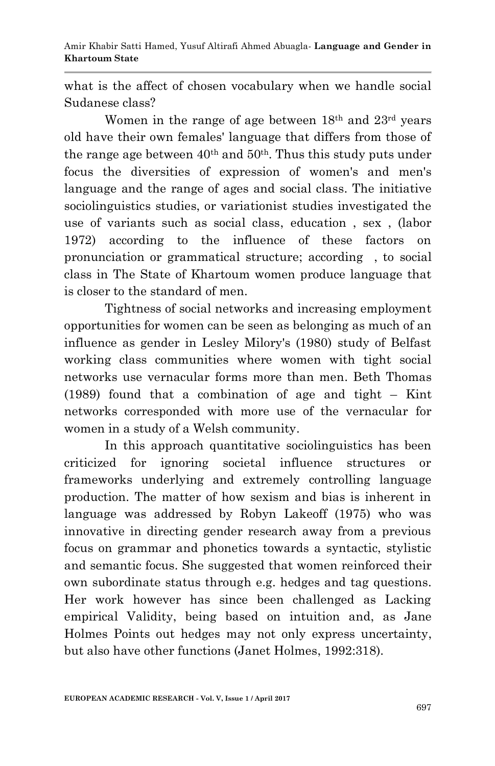what is the affect of chosen vocabulary when we handle social Sudanese class?

Women in the range of age between 18<sup>th</sup> and 23<sup>rd</sup> years old have their own females' language that differs from those of the range age between  $40<sup>th</sup>$  and  $50<sup>th</sup>$ . Thus this study puts under focus the diversities of expression of women's and men's language and the range of ages and social class. The initiative sociolinguistics studies, or variationist studies investigated the use of variants such as social class, education , sex , (labor 1972) according to the influence of these factors on pronunciation or grammatical structure; according , to social class in The State of Khartoum women produce language that is closer to the standard of men.

Tightness of social networks and increasing employment opportunities for women can be seen as belonging as much of an influence as gender in Lesley Milory's (1980) study of Belfast working class communities where women with tight social networks use vernacular forms more than men. Beth Thomas (1989) found that a combination of age and tight – Kint networks corresponded with more use of the vernacular for women in a study of a Welsh community.

In this approach quantitative sociolinguistics has been criticized for ignoring societal influence structures or frameworks underlying and extremely controlling language production. The matter of how sexism and bias is inherent in language was addressed by Robyn Lakeoff (1975) who was innovative in directing gender research away from a previous focus on grammar and phonetics towards a syntactic, stylistic and semantic focus. She suggested that women reinforced their own subordinate status through e.g. hedges and tag questions. Her work however has since been challenged as Lacking empirical Validity, being based on intuition and, as Jane Holmes Points out hedges may not only express uncertainty, but also have other functions (Janet Holmes, 1992:318).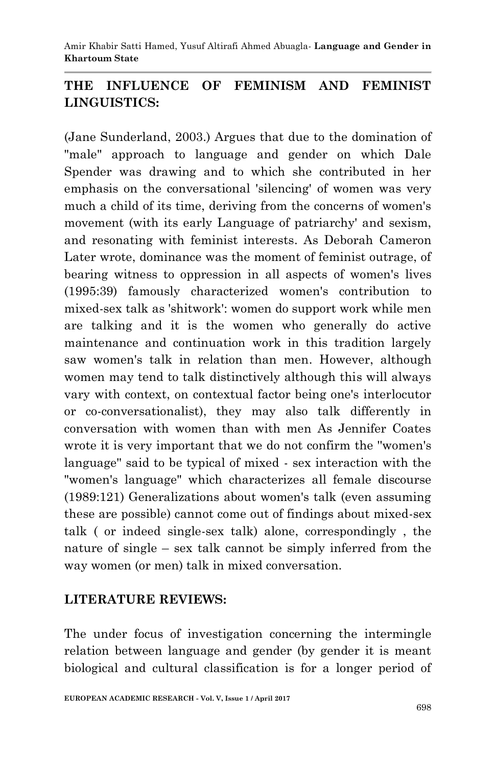Amir Khabir Satti Hamed, Yusuf Altirafi Ahmed Abuagla*-* **Language and Gender in Khartoum State**

# **THE INFLUENCE OF FEMINISM AND FEMINIST LINGUISTICS:**

(Jane Sunderland, 2003.) Argues that due to the domination of "male" approach to language and gender on which Dale Spender was drawing and to which she contributed in her emphasis on the conversational 'silencing' of women was very much a child of its time, deriving from the concerns of women's movement (with its early Language of patriarchy' and sexism, and resonating with feminist interests. As Deborah Cameron Later wrote, dominance was the moment of feminist outrage, of bearing witness to oppression in all aspects of women's lives (1995:39) famously characterized women's contribution to mixed-sex talk as 'shitwork': women do support work while men are talking and it is the women who generally do active maintenance and continuation work in this tradition largely saw women's talk in relation than men. However, although women may tend to talk distinctively although this will always vary with context, on contextual factor being one's interlocutor or co-conversationalist), they may also talk differently in conversation with women than with men As Jennifer Coates wrote it is very important that we do not confirm the ''women's language'' said to be typical of mixed - sex interaction with the "women's language" which characterizes all female discourse (1989:121) Generalizations about women's talk (even assuming these are possible) cannot come out of findings about mixed-sex talk ( or indeed single-sex talk) alone, correspondingly , the nature of single – sex talk cannot be simply inferred from the way women (or men) talk in mixed conversation.

### **LITERATURE REVIEWS:**

The under focus of investigation concerning the intermingle relation between language and gender (by gender it is meant biological and cultural classification is for a longer period of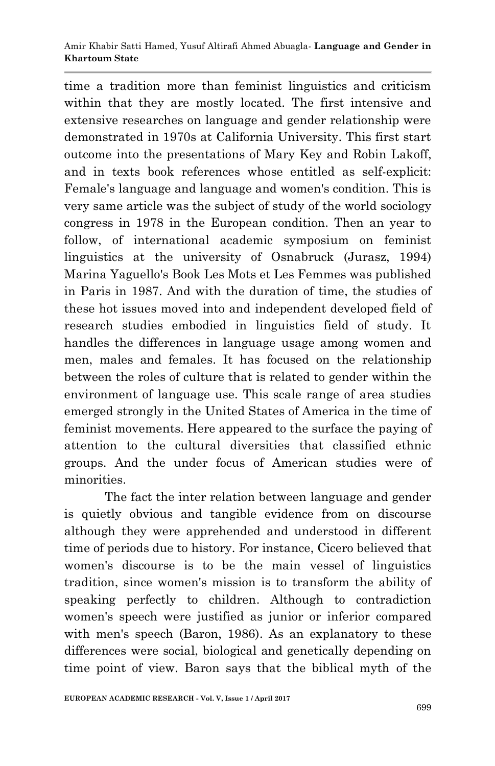time a tradition more than feminist linguistics and criticism within that they are mostly located. The first intensive and extensive researches on language and gender relationship were demonstrated in 1970s at California University. This first start outcome into the presentations of Mary Key and Robin Lakoff, and in texts book references whose entitled as self-explicit: Female's language and language and women's condition. This is very same article was the subject of study of the world sociology congress in 1978 in the European condition. Then an year to follow, of international academic symposium on feminist linguistics at the university of Osnabruck (Jurasz, 1994) Marina Yaguello's Book Les Mots et Les Femmes was published in Paris in 1987. And with the duration of time, the studies of these hot issues moved into and independent developed field of research studies embodied in linguistics field of study. It handles the differences in language usage among women and men, males and females. It has focused on the relationship between the roles of culture that is related to gender within the environment of language use. This scale range of area studies emerged strongly in the United States of America in the time of feminist movements. Here appeared to the surface the paying of attention to the cultural diversities that classified ethnic groups. And the under focus of American studies were of minorities.

The fact the inter relation between language and gender is quietly obvious and tangible evidence from on discourse although they were apprehended and understood in different time of periods due to history. For instance, Cicero believed that women's discourse is to be the main vessel of linguistics tradition, since women's mission is to transform the ability of speaking perfectly to children. Although to contradiction women's speech were justified as junior or inferior compared with men's speech (Baron, 1986). As an explanatory to these differences were social, biological and genetically depending on time point of view. Baron says that the biblical myth of the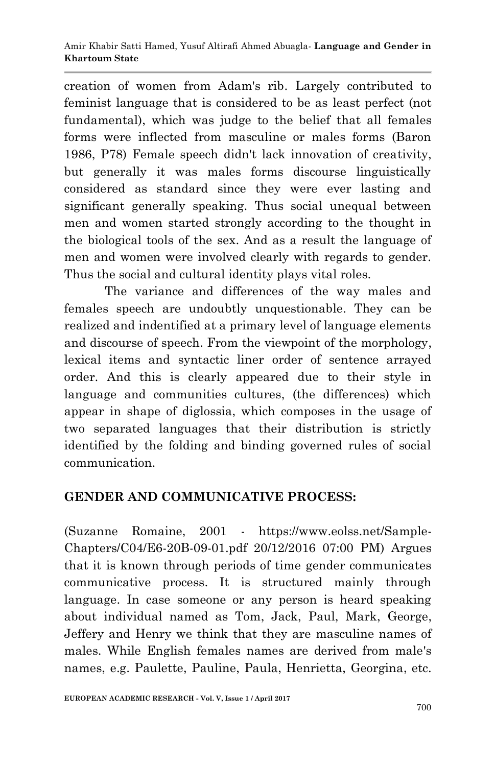creation of women from Adam's rib. Largely contributed to feminist language that is considered to be as least perfect (not fundamental), which was judge to the belief that all females forms were inflected from masculine or males forms (Baron 1986, P78) Female speech didn't lack innovation of creativity, but generally it was males forms discourse linguistically considered as standard since they were ever lasting and significant generally speaking. Thus social unequal between men and women started strongly according to the thought in the biological tools of the sex. And as a result the language of men and women were involved clearly with regards to gender. Thus the social and cultural identity plays vital roles.

The variance and differences of the way males and females speech are undoubtly unquestionable. They can be realized and indentified at a primary level of language elements and discourse of speech. From the viewpoint of the morphology, lexical items and syntactic liner order of sentence arrayed order. And this is clearly appeared due to their style in language and communities cultures, (the differences) which appear in shape of diglossia, which composes in the usage of two separated languages that their distribution is strictly identified by the folding and binding governed rules of social communication.

## **GENDER AND COMMUNICATIVE PROCESS:**

(Suzanne Romaine, 2001 - https://www.eolss.net/Sample-Chapters/C04/E6-20B-09-01.pdf 20/12/2016 07:00 PM) Argues that it is known through periods of time gender communicates communicative process. It is structured mainly through language. In case someone or any person is heard speaking about individual named as Tom, Jack, Paul, Mark, George, Jeffery and Henry we think that they are masculine names of males. While English females names are derived from male's names, e.g. Paulette, Pauline, Paula, Henrietta, Georgina, etc.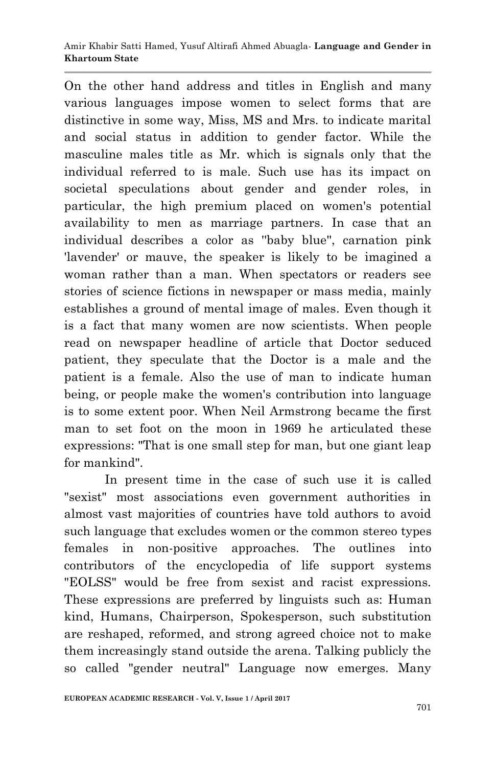On the other hand address and titles in English and many various languages impose women to select forms that are distinctive in some way, Miss, MS and Mrs. to indicate marital and social status in addition to gender factor. While the masculine males title as Mr. which is signals only that the individual referred to is male. Such use has its impact on societal speculations about gender and gender roles, in particular, the high premium placed on women's potential availability to men as marriage partners. In case that an individual describes a color as ''baby blue'', carnation pink 'lavender' or mauve, the speaker is likely to be imagined a woman rather than a man. When spectators or readers see stories of science fictions in newspaper or mass media, mainly establishes a ground of mental image of males. Even though it is a fact that many women are now scientists. When people read on newspaper headline of article that Doctor seduced patient, they speculate that the Doctor is a male and the patient is a female. Also the use of man to indicate human being, or people make the women's contribution into language is to some extent poor. When Neil Armstrong became the first man to set foot on the moon in 1969 he articulated these expressions: "That is one small step for man, but one giant leap for mankind".

In present time in the case of such use it is called "sexist" most associations even government authorities in almost vast majorities of countries have told authors to avoid such language that excludes women or the common stereo types females in non-positive approaches. The outlines into contributors of the encyclopedia of life support systems "EOLSS" would be free from sexist and racist expressions. These expressions are preferred by linguists such as: Human kind, Humans, Chairperson, Spokesperson, such substitution are reshaped, reformed, and strong agreed choice not to make them increasingly stand outside the arena. Talking publicly the so called "gender neutral" Language now emerges. Many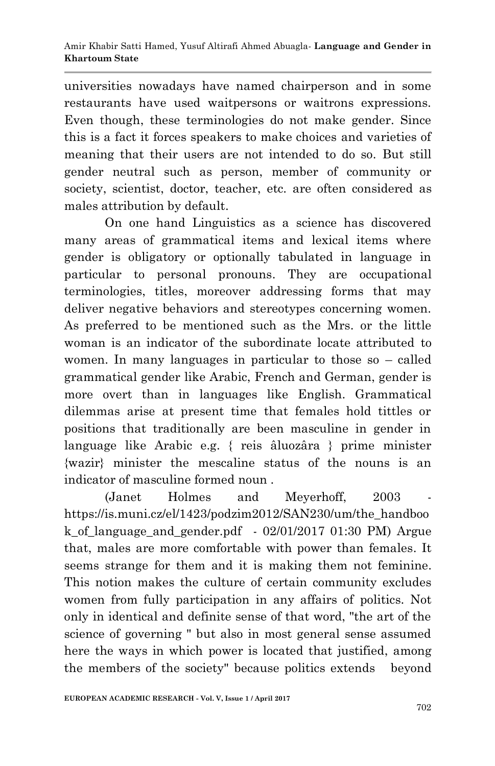universities nowadays have named chairperson and in some restaurants have used waitpersons or waitrons expressions. Even though, these terminologies do not make gender. Since this is a fact it forces speakers to make choices and varieties of meaning that their users are not intended to do so. But still gender neutral such as person, member of community or society, scientist, doctor, teacher, etc. are often considered as males attribution by default.

On one hand Linguistics as a science has discovered many areas of grammatical items and lexical items where gender is obligatory or optionally tabulated in language in particular to personal pronouns. They are occupational terminologies, titles, moreover addressing forms that may deliver negative behaviors and stereotypes concerning women. As preferred to be mentioned such as the Mrs. or the little woman is an indicator of the subordinate locate attributed to women. In many languages in particular to those so – called grammatical gender like Arabic, French and German, gender is more overt than in languages like English. Grammatical dilemmas arise at present time that females hold tittles or positions that traditionally are been masculine in gender in language like Arabic e.g. { reis âluozâra } prime minister {wazir} minister the mescaline status of the nouns is an indicator of masculine formed noun .

(Janet Holmes and Meyerhoff, 2003) https://is.muni.cz/el/1423/podzim2012/SAN230/um/the\_handboo k\_of\_language\_and\_gender.pdf - 02/01/2017 01:30 PM) Argue that, males are more comfortable with power than females. It seems strange for them and it is making them not feminine. This notion makes the culture of certain community excludes women from fully participation in any affairs of politics. Not only in identical and definite sense of that word, "the art of the science of governing " but also in most general sense assumed here the ways in which power is located that justified, among the members of the society" because politics extends beyond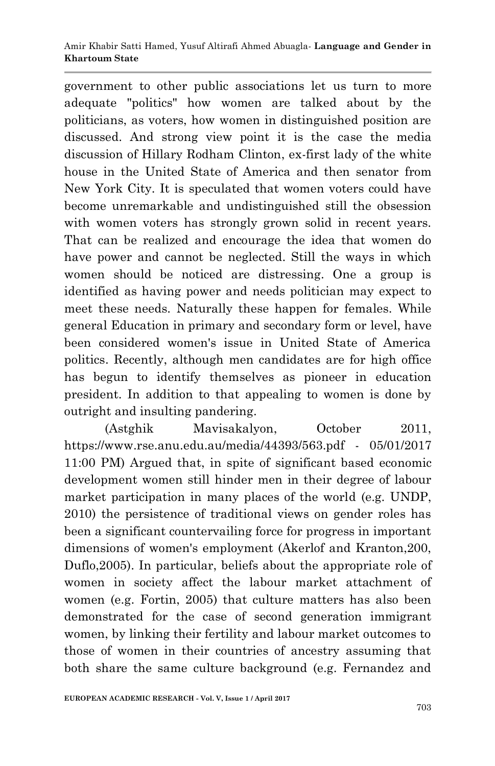government to other public associations let us turn to more adequate "politics" how women are talked about by the politicians, as voters, how women in distinguished position are discussed. And strong view point it is the case the media discussion of Hillary Rodham Clinton, ex-first lady of the white house in the United State of America and then senator from New York City. It is speculated that women voters could have become unremarkable and undistinguished still the obsession with women voters has strongly grown solid in recent years. That can be realized and encourage the idea that women do have power and cannot be neglected. Still the ways in which women should be noticed are distressing. One a group is identified as having power and needs politician may expect to meet these needs. Naturally these happen for females. While general Education in primary and secondary form or level, have been considered women's issue in United State of America politics. Recently, although men candidates are for high office has begun to identify themselves as pioneer in education president. In addition to that appealing to women is done by outright and insulting pandering.

(Astghik Mavisakalyon, October 2011, https://www.rse.anu.edu.au/media/44393/563.pdf - 05/01/2017 11:00 PM) Argued that, in spite of significant based economic development women still hinder men in their degree of labour market participation in many places of the world (e.g. UNDP, 2010) the persistence of traditional views on gender roles has been a significant countervailing force for progress in important dimensions of women's employment (Akerlof and Kranton,200, Duflo,2005). In particular, beliefs about the appropriate role of women in society affect the labour market attachment of women (e.g. Fortin, 2005) that culture matters has also been demonstrated for the case of second generation immigrant women, by linking their fertility and labour market outcomes to those of women in their countries of ancestry assuming that both share the same culture background (e.g. Fernandez and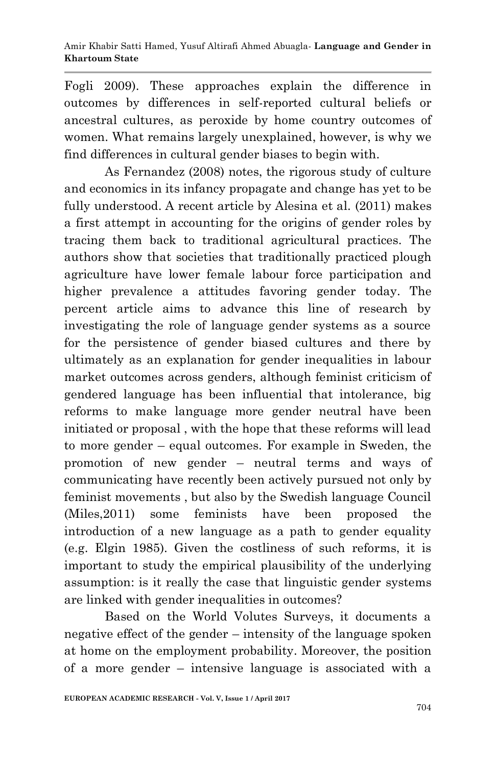Fogli 2009). These approaches explain the difference in outcomes by differences in self-reported cultural beliefs or ancestral cultures, as peroxide by home country outcomes of women. What remains largely unexplained, however, is why we find differences in cultural gender biases to begin with.

As Fernandez (2008) notes, the rigorous study of culture and economics in its infancy propagate and change has yet to be fully understood. A recent article by Alesina et al. (2011) makes a first attempt in accounting for the origins of gender roles by tracing them back to traditional agricultural practices. The authors show that societies that traditionally practiced plough agriculture have lower female labour force participation and higher prevalence a attitudes favoring gender today. The percent article aims to advance this line of research by investigating the role of language gender systems as a source for the persistence of gender biased cultures and there by ultimately as an explanation for gender inequalities in labour market outcomes across genders, although feminist criticism of gendered language has been influential that intolerance, big reforms to make language more gender neutral have been initiated or proposal , with the hope that these reforms will lead to more gender – equal outcomes. For example in Sweden, the promotion of new gender – neutral terms and ways of communicating have recently been actively pursued not only by feminist movements , but also by the Swedish language Council (Miles,2011) some feminists have been proposed the introduction of a new language as a path to gender equality (e.g. Elgin 1985). Given the costliness of such reforms, it is important to study the empirical plausibility of the underlying assumption: is it really the case that linguistic gender systems are linked with gender inequalities in outcomes?

Based on the World Volutes Surveys, it documents a negative effect of the gender – intensity of the language spoken at home on the employment probability. Moreover, the position of a more gender – intensive language is associated with a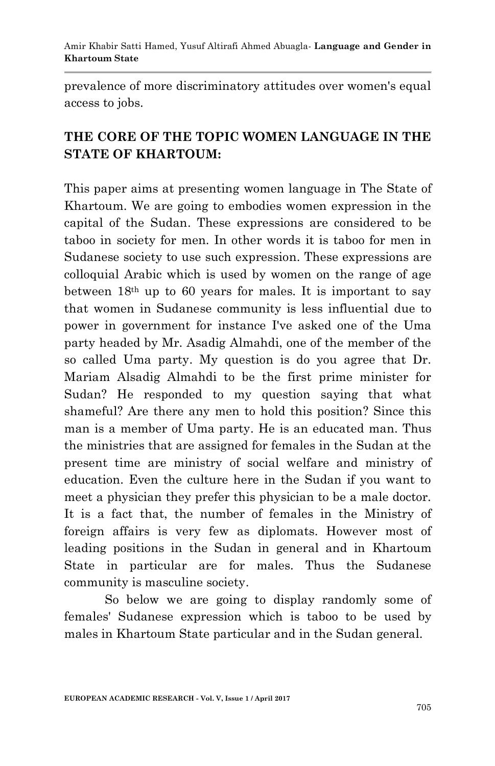prevalence of more discriminatory attitudes over women's equal access to jobs.

# **THE CORE OF THE TOPIC WOMEN LANGUAGE IN THE STATE OF KHARTOUM:**

This paper aims at presenting women language in The State of Khartoum. We are going to embodies women expression in the capital of the Sudan. These expressions are considered to be taboo in society for men. In other words it is taboo for men in Sudanese society to use such expression. These expressions are colloquial Arabic which is used by women on the range of age between  $18<sup>th</sup>$  up to 60 years for males. It is important to say that women in Sudanese community is less influential due to power in government for instance I've asked one of the Uma party headed by Mr. Asadig Almahdi, one of the member of the so called Uma party. My question is do you agree that Dr. Mariam Alsadig Almahdi to be the first prime minister for Sudan? He responded to my question saying that what shameful? Are there any men to hold this position? Since this man is a member of Uma party. He is an educated man. Thus the ministries that are assigned for females in the Sudan at the present time are ministry of social welfare and ministry of education. Even the culture here in the Sudan if you want to meet a physician they prefer this physician to be a male doctor. It is a fact that, the number of females in the Ministry of foreign affairs is very few as diplomats. However most of leading positions in the Sudan in general and in Khartoum State in particular are for males. Thus the Sudanese community is masculine society.

So below we are going to display randomly some of females' Sudanese expression which is taboo to be used by males in Khartoum State particular and in the Sudan general.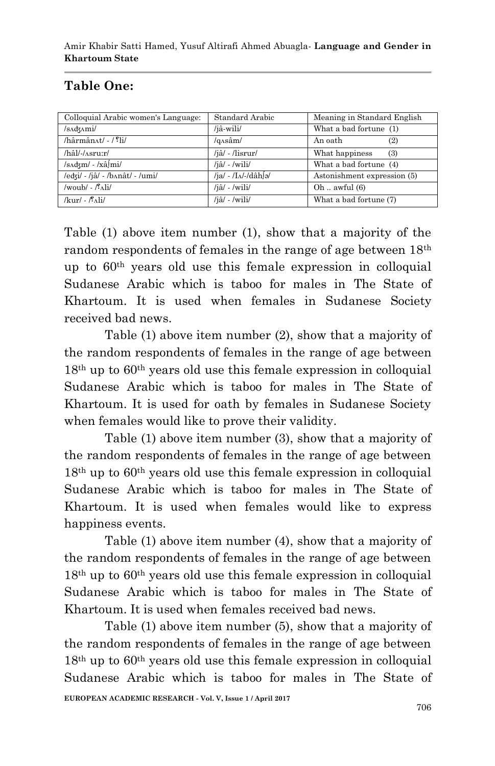# **Table One:**

| Colloquial Arabic women's Language:           | Standard Arabic               | Meaning in Standard English |
|-----------------------------------------------|-------------------------------|-----------------------------|
| $/sAdxAmi$                                    | /jâ-wili/                     | What a bad fortune (1)      |
| $/\hbar\hat{a}$ rmân $\Delta t$ / $\Omega$ i/ | $/q\Lambda s\hat{a}m/$        | (2)<br>An oath              |
| /hâl/-/^sru:r/                                | /iâ/ - /lisrur/               | What happiness<br>(3)       |
| $/sAdxm/ - xAsinI$                            | $/i\hat{a}/$ - $/wili/$       | What a bad fortune (4)      |
| /edzi/ - /jâ/ - /bʌnât/ - /umi/               | /ja/ - /I $\Lambda$ /-/dâh[ə/ | Astonishment expression (5) |
| /woub/ $-\beta$ \li/                          | $/i\hat{a}/$ - $/wili/$       | Oh $awful(6)$               |
| $/kur/$ - $\beta_{\Lambda}$ li/               | $/i\hat{a}/$ - $/wili/$       | What a bad fortune (7)      |

Table (1) above item number (1), show that a majority of the random respondents of females in the range of age between 18th up to 60th years old use this female expression in colloquial Sudanese Arabic which is taboo for males in The State of Khartoum. It is used when females in Sudanese Society received bad news.

Table (1) above item number (2), show that a majority of the random respondents of females in the range of age between 18th up to 60th years old use this female expression in colloquial Sudanese Arabic which is taboo for males in The State of Khartoum. It is used for oath by females in Sudanese Society when females would like to prove their validity.

Table (1) above item number (3), show that a majority of the random respondents of females in the range of age between 18th up to 60th years old use this female expression in colloquial Sudanese Arabic which is taboo for males in The State of Khartoum. It is used when females would like to express happiness events.

Table (1) above item number (4), show that a majority of the random respondents of females in the range of age between 18th up to 60th years old use this female expression in colloquial Sudanese Arabic which is taboo for males in The State of Khartoum. It is used when females received bad news.

Table (1) above item number (5), show that a majority of the random respondents of females in the range of age between 18th up to 60th years old use this female expression in colloquial Sudanese Arabic which is taboo for males in The State of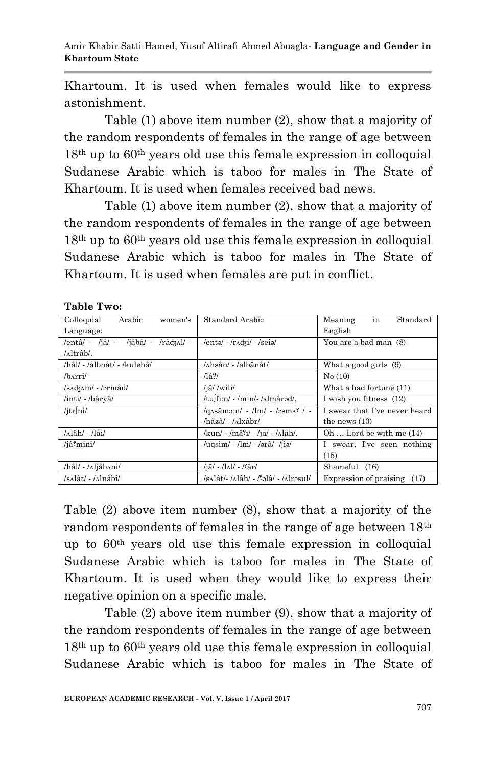Khartoum. It is used when females would like to express astonishment.

Table (1) above item number (2), show that a majority of the random respondents of females in the range of age between 18th up to 60th years old use this female expression in colloquial Sudanese Arabic which is taboo for males in The State of Khartoum. It is used when females received bad news.

Table (1) above item number (2), show that a majority of the random respondents of females in the range of age between 18th up to 60th years old use this female expression in colloquial Sudanese Arabic which is taboo for males in The State of Khartoum. It is used when females are put in conflict.

| Arabic<br>Colloquial<br>women's                                                                                                                                                                                                                                                                                                                | Standard Arabic                                                        | in<br>Standard<br>Meaning         |
|------------------------------------------------------------------------------------------------------------------------------------------------------------------------------------------------------------------------------------------------------------------------------------------------------------------------------------------------|------------------------------------------------------------------------|-----------------------------------|
| Language:                                                                                                                                                                                                                                                                                                                                      |                                                                        | English                           |
| $/ent\hat{a}/ - 4\hat{a}/ - 4\hat{a}/ - 4\hat{a}/ - 4\hat{a}/ - 4\hat{a}/ - 4\hat{a}/ - 4\hat{a}/ - 4\hat{a}/ - 4\hat{a}/ - 4\hat{a}/ - 4\hat{a}/ - 4\hat{a}/ - 4\hat{a}/ - 4\hat{a}/ - 4\hat{a}/ - 4\hat{a}/ - 4\hat{a}/ - 4\hat{a}/ - 4\hat{a}/ - 4\hat{a}/ - 4\hat{a}/ - 4\hat{a}/ - 4\hat{a}/ - 4\hat{a}/ - 4\hat{a}/ - 4\hat{a}/ - 4\hat$ | /entə/ - /rʌdʒi/ - /seiə/                                              | You are a bad man (8)             |
| /altrâb/.                                                                                                                                                                                                                                                                                                                                      |                                                                        |                                   |
| /hâl/ - /âlbnât/ - /kulehâ/                                                                                                                                                                                                                                                                                                                    | /ʌhsân/ - /albânât/                                                    | What a good girls (9)             |
| /b^rri/                                                                                                                                                                                                                                                                                                                                        | $\sqrt{a^2}$                                                           | No(10)                            |
| /sadzam/ - /ərmâd/                                                                                                                                                                                                                                                                                                                             | /jâ//wili/                                                             | What a bad fortune (11)           |
| /inti/ - /bâryâ/                                                                                                                                                                                                                                                                                                                               | /tulfi:n/ - /min/- / almârad/.                                         | I wish you fitness (12)           |
| $/$ itr $\ln l$                                                                                                                                                                                                                                                                                                                                | $\gamma$ q $\alpha$ sâm $\alpha$ : $\alpha$ - /lm/ - /əsm $\alpha$ / - | I swear that I've never heard     |
|                                                                                                                                                                                                                                                                                                                                                | /hâzâ/- /ʌlxâbr/                                                       | the news $(13)$                   |
| /ʌlâh/ - /lâi/                                                                                                                                                                                                                                                                                                                                 | /kun/ - /mâ <sup>°</sup> i/ - /ja/ - /ʌlâh/.                           | Oh $\dots$ Lord be with me $(14)$ |
| /jâ <sup><i>s</i></sup> mini/                                                                                                                                                                                                                                                                                                                  | $\mu$ qsim/ - /lm/ - /ərâ/- /liə/                                      | I swear, I've seen nothing        |
|                                                                                                                                                                                                                                                                                                                                                |                                                                        | (15)                              |
| /hâl/ - /ʌljâbʌni/                                                                                                                                                                                                                                                                                                                             | /jâ/ - /lʌl/ - /ˈfâr/                                                  | Shameful (16)                     |
| /sʌlât/ - /ʌlnâbi/                                                                                                                                                                                                                                                                                                                             | /salât/- /alâh/ - /səlâ/ - /alrəsul/                                   | Expression of praising (17)       |

**Table Two:**

Table (2) above item number (8), show that a majority of the random respondents of females in the range of age between 18th up to 60th years old use this female expression in colloquial Sudanese Arabic which is taboo for males in The State of Khartoum. It is used when they would like to express their negative opinion on a specific male.

Table (2) above item number (9), show that a majority of the random respondents of females in the range of age between 18th up to 60th years old use this female expression in colloquial Sudanese Arabic which is taboo for males in The State of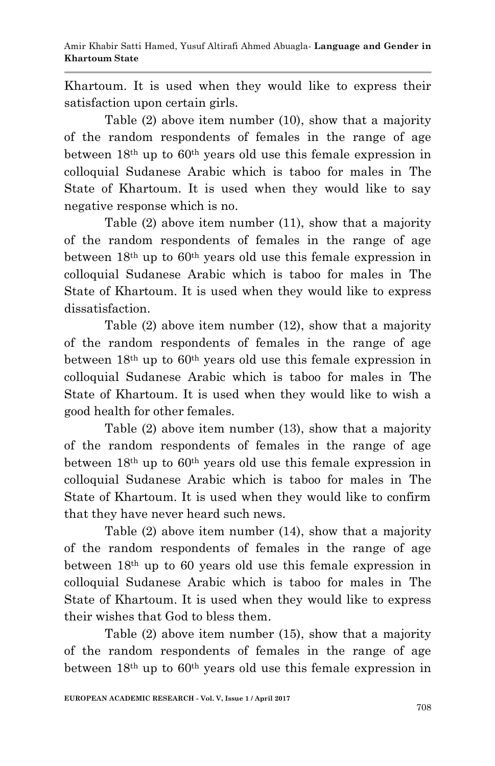Khartoum. It is used when they would like to express their satisfaction upon certain girls.

Table (2) above item number (10), show that a majority of the random respondents of females in the range of age between 18th up to 60th years old use this female expression in colloquial Sudanese Arabic which is taboo for males in The State of Khartoum. It is used when they would like to say negative response which is no.

Table (2) above item number (11), show that a majority of the random respondents of females in the range of age between  $18<sup>th</sup>$  up to  $60<sup>th</sup>$  years old use this female expression in colloquial Sudanese Arabic which is taboo for males in The State of Khartoum. It is used when they would like to express dissatisfaction.

Table (2) above item number (12), show that a majority of the random respondents of females in the range of age between  $18<sup>th</sup>$  up to  $60<sup>th</sup>$  years old use this female expression in colloquial Sudanese Arabic which is taboo for males in The State of Khartoum. It is used when they would like to wish a good health for other females.

Table (2) above item number (13), show that a majority of the random respondents of females in the range of age between  $18<sup>th</sup>$  up to  $60<sup>th</sup>$  years old use this female expression in colloquial Sudanese Arabic which is taboo for males in The State of Khartoum. It is used when they would like to confirm that they have never heard such news.

Table (2) above item number (14), show that a majority of the random respondents of females in the range of age between 18th up to 60 years old use this female expression in colloquial Sudanese Arabic which is taboo for males in The State of Khartoum. It is used when they would like to express their wishes that God to bless them.

Table (2) above item number (15), show that a majority of the random respondents of females in the range of age between  $18<sup>th</sup>$  up to  $60<sup>th</sup>$  years old use this female expression in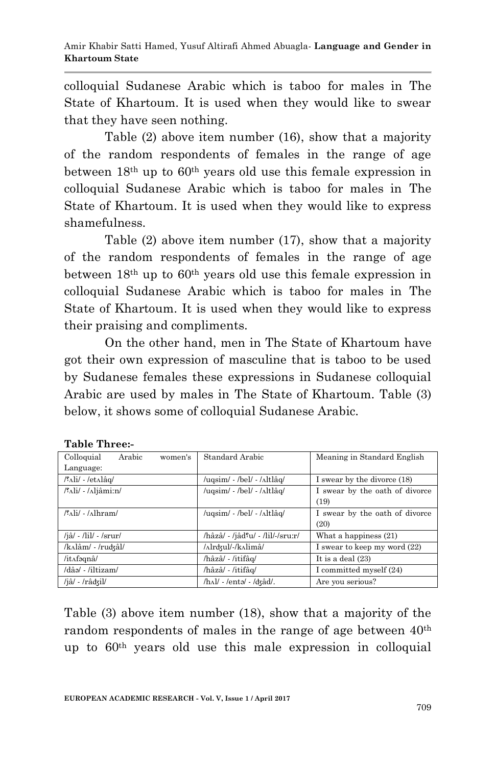colloquial Sudanese Arabic which is taboo for males in The State of Khartoum. It is used when they would like to swear that they have seen nothing.

Table (2) above item number (16), show that a majority of the random respondents of females in the range of age between  $18<sup>th</sup>$  up to  $60<sup>th</sup>$  years old use this female expression in colloquial Sudanese Arabic which is taboo for males in The State of Khartoum. It is used when they would like to express shamefulness.

Table (2) above item number (17), show that a majority of the random respondents of females in the range of age between  $18<sup>th</sup>$  up to  $60<sup>th</sup>$  years old use this female expression in colloquial Sudanese Arabic which is taboo for males in The State of Khartoum. It is used when they would like to express their praising and compliments.

On the other hand, men in The State of Khartoum have got their own expression of masculine that is taboo to be used by Sudanese females these expressions in Sudanese colloquial Arabic are used by males in The State of Khartoum. Table (3) below, it shows some of colloquial Sudanese Arabic.

| Arabic<br>Colloquial<br>women's             | Standard Arabic                  | Meaning in Standard English    |
|---------------------------------------------|----------------------------------|--------------------------------|
| Language:                                   |                                  |                                |
| /'Ali/ - /etʌlâq/                           | /ugsim/ - /bel/ - /ʌltlâg/       | I swear by the divorce (18)    |
| /f^^Ali/ - /^^liâmi:n/                      | /uqsim/ - /bel/ - /ʌltlâq/       | I swear by the oath of divorce |
|                                             |                                  | (19)                           |
| $\frac{\pi}{2}$ li/ - / $\lambda$ lhram/    | /uqsim/ - /bel/ - /ʌltlâq/       | I swear by the oath of divorce |
|                                             |                                  | (20)                           |
| $/j\hat{a}/$ - $/j\hat{a}/$ - $/sr\hat{u}r$ | /hâzâ/ - /jâdˤu/ - /lil/-/sru:r/ | What a happiness $(21)$        |
| /kʌlâm/ - /ruʤâl/                           | /^lrdzul/-/k^limâ                | I swear to keep my word (22)   |
| /it^fəqnâ/                                  | /hâzâ/ - /itifâq/                | It is a deal $(23)$            |
| /dâə/ - /iltizam/                           | /hâzâ/ - /itifâq/                | I committed myself (24)        |
| /jâ/ - /râdʒil/                             | /hʌl/ - /entə/ - /dʒâd/.         | Are you serious?               |

| Table Three:- |
|---------------|
|               |

Table (3) above item number (18), show that a majority of the random respondents of males in the range of age between  $40<sup>th</sup>$ up to 60th years old use this male expression in colloquial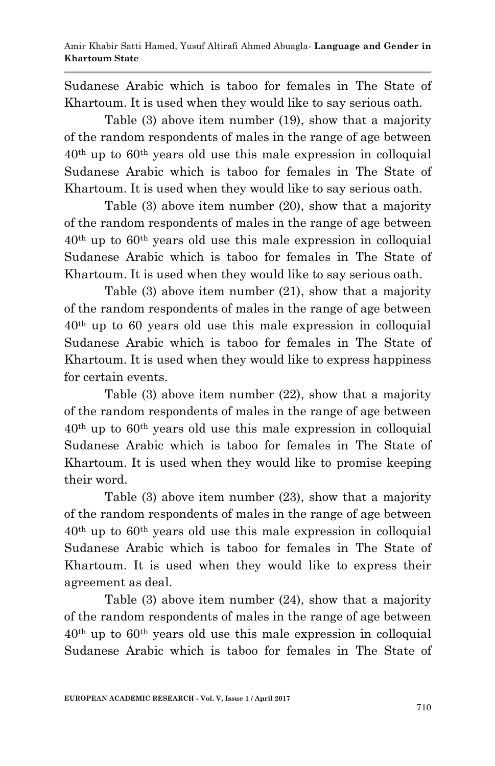Sudanese Arabic which is taboo for females in The State of Khartoum. It is used when they would like to say serious oath.

Table (3) above item number (19), show that a majority of the random respondents of males in the range of age between 40th up to 60th years old use this male expression in colloquial Sudanese Arabic which is taboo for females in The State of Khartoum. It is used when they would like to say serious oath.

Table (3) above item number (20), show that a majority of the random respondents of males in the range of age between 40th up to 60th years old use this male expression in colloquial Sudanese Arabic which is taboo for females in The State of Khartoum. It is used when they would like to say serious oath.

Table (3) above item number (21), show that a majority of the random respondents of males in the range of age between 40th up to 60 years old use this male expression in colloquial Sudanese Arabic which is taboo for females in The State of Khartoum. It is used when they would like to express happiness for certain events.

Table (3) above item number (22), show that a majority of the random respondents of males in the range of age between 40th up to 60th years old use this male expression in colloquial Sudanese Arabic which is taboo for females in The State of Khartoum. It is used when they would like to promise keeping their word.

Table (3) above item number (23), show that a majority of the random respondents of males in the range of age between 40th up to 60th years old use this male expression in colloquial Sudanese Arabic which is taboo for females in The State of Khartoum. It is used when they would like to express their agreement as deal.

Table (3) above item number (24), show that a majority of the random respondents of males in the range of age between 40th up to 60th years old use this male expression in colloquial Sudanese Arabic which is taboo for females in The State of